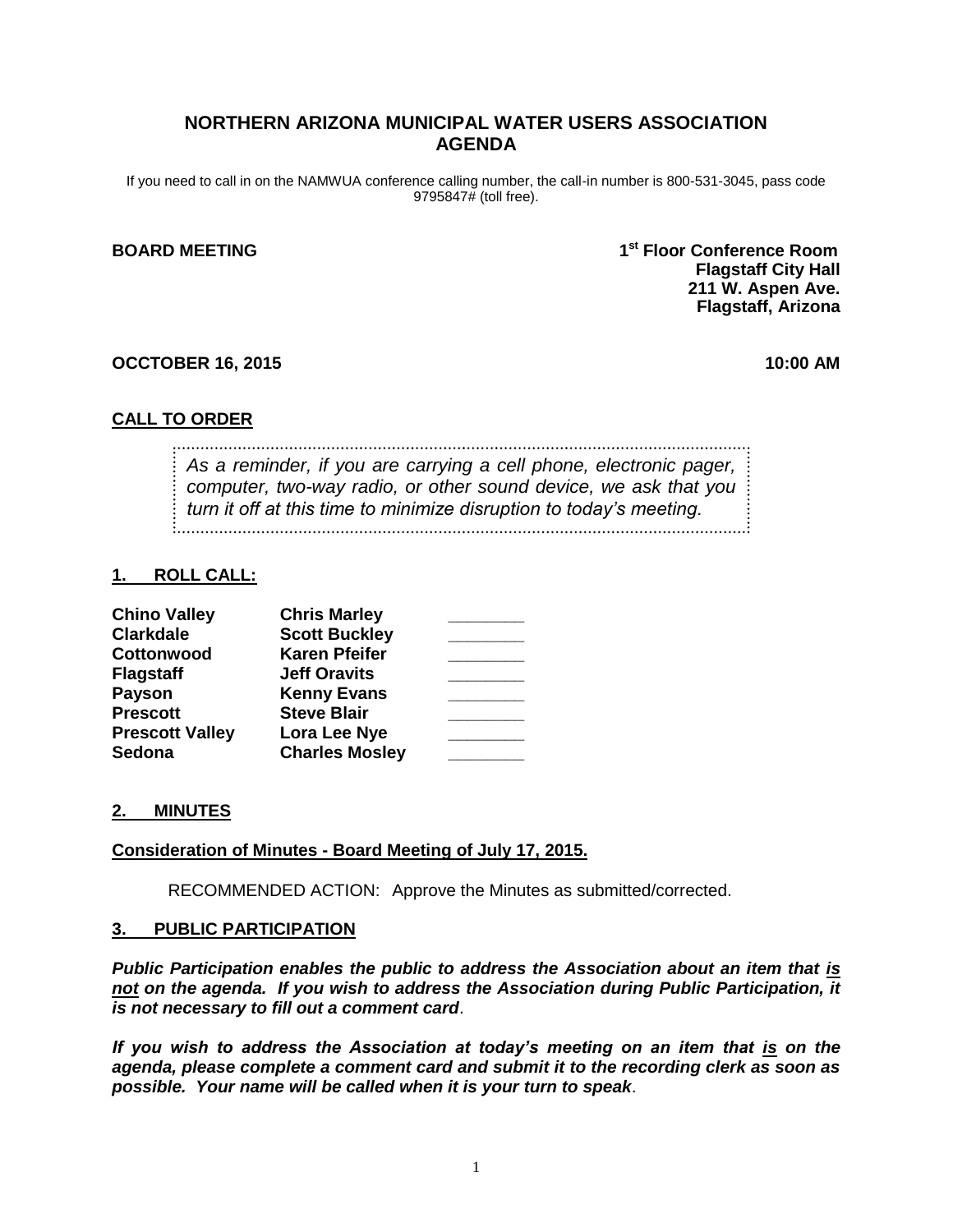## **NORTHERN ARIZONA MUNICIPAL WATER USERS ASSOCIATION AGENDA**

If you need to call in on the NAMWUA conference calling number, the call-in number is 800-531-3045, pass code 9795847# (toll free).

#### **BOARD MEETING 1**

**st Floor Conference Room Flagstaff City Hall 211 W. Aspen Ave. Flagstaff, Arizona**

#### **OCCTOBER 16, 2015 10:00 AM**

### **CALL TO ORDER**

*As a reminder, if you are carrying a cell phone, electronic pager, computer, two-way radio, or other sound device, we ask that you turn it off at this time to minimize disruption to today's meeting.*

#### **1. ROLL CALL:**

| <b>Chino Valley</b>    | <b>Chris Marley</b>   |  |
|------------------------|-----------------------|--|
| <b>Clarkdale</b>       | <b>Scott Buckley</b>  |  |
| Cottonwood             | <b>Karen Pfeifer</b>  |  |
| <b>Flagstaff</b>       | <b>Jeff Oravits</b>   |  |
| <b>Payson</b>          | <b>Kenny Evans</b>    |  |
| <b>Prescott</b>        | <b>Steve Blair</b>    |  |
| <b>Prescott Valley</b> | Lora Lee Nye          |  |
| <b>Sedona</b>          | <b>Charles Mosley</b> |  |

#### **2. MINUTES**

#### **Consideration of Minutes - Board Meeting of July 17, 2015.**

RECOMMENDED ACTION: Approve the Minutes as submitted/corrected.

#### **3. PUBLIC PARTICIPATION**

*Public Participation enables the public to address the Association about an item that is not on the agenda. If you wish to address the Association during Public Participation, it is not necessary to fill out a comment card*.

*If you wish to address the Association at today's meeting on an item that is on the agenda, please complete a comment card and submit it to the recording clerk as soon as possible. Your name will be called when it is your turn to speak*.